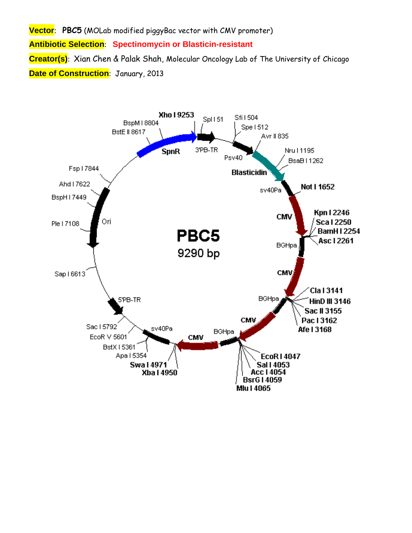**Vector**: **PBC5** (MOLab modified piggyBac vector with CMV promoter) **Antibiotic Selection**: **Spectinomycin or Blasticin-resistant Creator(s)**: Xian Chen & Palak Shah, Molecular Oncology Lab of The University of Chicago **Date of Construction**: January, 2013

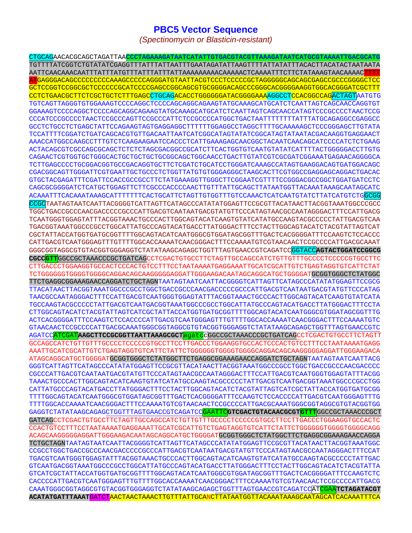## **PBC5 Vector Sequence**

*(Spectinomycin or Blasticin-resistant)* 

CTGCAGAACACGCAGCTAGATTAA**CCCTAGAAAGATAATCATATTGTGACGTACGTTAAAGATAATCATGCGTAAAATTGACGCATG** TGTTTTATCGGTCTGTATATCGAGGTTTATTTATTAATTTGAATAGATATTAAGTTTTATTATATTTACACTTACATACTAATAATA AATTCAACAAACAATTTATTTATGTTTATTTATTTATTAAAAAAAAACAAAAACTCAAAATTTCTTCTATAAAGTAACAAAACTTTT ATGAGGGACAGCCCCCCCCCAAAGCCCCCAGGGATGTAATTACGTCCCTCCCCCGCTAGGGGGCAGCAGCGAGCCGCCCGGGGCTCC GCTCCGGTCCGGCGCTCCCCCCGCATCCCCGAGCCGGCAGCGTGCGGGGACAGCCCGGGCACGGGGAAGGTGGCACGGGATCGCTTT CCTCTGAACGCTTCTCGCTGCTCTTTGAGCCTGCAGACACCTGGGGGGATACGGGGAAAAGGCCTCCACGGCCAGACTAGTAATGTG TGTCAGTTAGGGTGTGGAAAGTCCCCAGGCTCCCCAGCAGGCAGAAGTATGCAAAGCATGCATCTCAATTAGTCAGCAACCAGGTGT GGAAAGTCCCCAGGCTCCCCAGCAGGCAGAAGTATGCAAAGCATGCATCTCAATTAGTCAGCAACCATAGTCCCGCCCCTAACTCCG CCCATCCCGCCCCTAACTCCGCCCAGTTCCGCCCATTCTCCGCCCCATGGCTGACTAATTTTTTTTATTTATGCAGAGGCCGAGGCC GCCTCTGCCTCTGAGCTATTCCAGAAGTAGTGAGGAGGCTTTTTTGGAGGCCTAGGCTTTTGCAAAAAGCTCCCGGGAGCTTGTATA TCCATTTTCGGATCTGATCAGCACGTGTTGACAATTAATCATCGGCATAGTATATCGGCATAGTATAATACGACAAGGTGAGGAACT AAACCATGGCCAAGCCTTTGTCTCAAGAAGAATCCACCCTCATTGAAAGAGCAACGGCTACAATCAACAGCATCCCCATCTCTGAAG ACTACAGCGTCGCCAGCGCAGCTCTCTCTAGCGACGGCCGCATCTTCACTGGTGTCAATGTATATCATTTTACTGGGGGACCTTGTG CAGAACTCGTGGTGCTGGGCACTGCTGCTGCTGCGGCAGCTGGCAACCTGACTTGTATCGTCGCGATCGGAAATGAGAACAGGGGCA TCTTGAGCCCCTGCGGACGGTGCCGACAGGTGCTTCTCGATCTGCATCCTGGGATCAAAGCCATAGTGAAGGACAGTGATGGACAGC CGACGGCAGTTGGGATTCGTGAATTGCTGCCCTCTGGTTATGTGTGGGAGGGCTAAGCACTTCGTGGCCGAGGAGCAGGACTGACAC GTGCTACGAGATTTCGATTCCACCGCCGCCTTCTATGAAAGGTTGGGCTTCGGAATCGTTTTCCGGGACGCCGGCTGGATGATCCTC CAGCGCGGGGATCTCATGCTGGAGTTCTTCGCCCACCCCAACTTGTTTATTGCAGCTTATAATGGTTACAAATAAAGCAATAGCATC ACAAATTTCACAAATAAAGCATTTTTTTCACTGCATTCTAGTTGTGGTTTGTCCAAACTCATCAATGTATCTTATCATGTCTGGCGG CCGCTAATAGTAATCAATTACGGGGTCATTAGTTCATAGCCCATATATGGAGTTCCGCGTTACATAACTTACGGTAAATGGCCCGCC TGGCTGACCGCCCAACGACCCCCGCCCATTGACGTCAATAATGACGTATGTTCCCATAGTAACGCCAATAGGGACTTTCCATTGACG TCAATGGGTGGAGTATTTACGGTAAACTGCCCACTTGGCAGTACATCAAGTGTATCATATGCCAAGTACGCCCCCTATTGACGTCAA TGACGGTAAATGGCCCGCCTGGCATTATGCCCAGTACATGACCTTATGGGACTTTCCTACTTGGCAGTACATCTACGTATTAGTCAT CGCTATTACCATGGTGATGCGGTTTTGGCAGTACATCAATGGGCGTGGATAGCGGTTTGACTCACGGGGATTTCCAAGTCTCCACCC CATTGACGTCAATGGGAGTTTGTTTTGGCACCAAAATCAACGGGACTTTCCAAAATGTCGTAACAACTCCGCCCCATTGACGCAAAT GGGCGGTAGGCGTGTACGGTGGGAGGTCTATATAAGCAGAGCTGGTTTAGTGAACCGTCAGATCCGGTACC**AGTACTGGATCCGGCG CGCCGTT**GGCCGCTAAACCCGCTGATCAGCCTCGACTGTGCCTTCTAGTTGCCAGCCATCTGTTGTTTGCCCCTCCCCCGTGCCTTC CTTGACCCTGGAAGGTGCCACTCCCACTGTCCTTTCCTAATAAAATGAGGAAATTGCATCGCATTGTCTGAGTAGGTGTCATTCTAT TCTGGGGGGTGGGGTGGGGCAGGACAGCAAGGGGGAGGATTGGGAAGACAATAGCAGGCATGCTGGGGATGCGGTGGGCTCTATGGC TTCTGAGGCGGAAAGAACCAGGATCTGCTAGNTAATAGTAATCAATTACGGGGTCATTAGTTCATAGCCCATATATGGAGTTCCGCG TTACATAACTTACGGTAAATGGCCCGCCTGGCTGACCGCCCAACGACCCCCGCCCATTGACGTCAATAATGACGTATGTTCCCATAG TAACGCCAATAGGGACTTTCCATTGACGTCAATGGGTGGAGTATTTACGGTAAACTGCCCACTTGGCAGTACATCAAGTGTATCATA TGCCAAGTACGCCCCCTATTGACGTCAATGACGGTAAATGGCCCGCCTGGCATTATGCCCAGTACATGACCTTATGGGACTTTCCTA CTTGGCAGTACATCTACGTATTAGTCATCGCTATTACCATGGTGATGCGGTTTTGGCAGTACATCAATGGGCGTGGATAGCGGTTTG ACTCACGGGGATTTCCAAGTCTCCACCCCATTGACGTCAATGGGAGTTTGTTTTGGCACCAAAATCAACGGGACTTTCCAAAATGTC GTAACAACTCCGCCCCATTGACGCAAATGGGCGGTAGGCGTGTACGGTGGGAGGTCTATATAAGCAGAGCTGGTTTAGTGAACCGTC AGATCCATCGAT**AAGCTTCCGCGGTTAATTAAAGCGCT**agatccGGCCGCTAAACCCGCTGATCAGCCTCGACTGTGCCTTCTAGTT GCCAGCCATCTGTTGTTTGCCCCTCCCCCGTGCCTTCCTTGACCCTGGAAGGTGCCACTCCCACTGTCCTTTCCTAATAAAATGAGG AAATTGCATCGCATTGTCTGAGTAGGTGTCATTCTATTCTGGGGGGTGGGGTGGGGCAGGACAGCAAGGGGGAGGATTGGGAAGACA ATAGCAGGCATGCTGGGGATGCGGTGGGCTCTATGGCTTCTGAGGCGGAAAGAACCAGGATCTGCTAGNTAATAGTAATCAATTACG GGGTCATTAGTTCATAGCCCATATATGGAGTTCCGCGTTACATAACTTACGGTAAATGGCCCGCCTGGCTGACCGCCCAACGACCCC CGCCCATTGACGTCAATAATGACGTATGTTCCCATAGTAACGCCAATAGGGACTTTCCATTGACGTCAATGGGTGGAGTATTTACGG TAAACTGCCCACTTGGCAGTACATCAAGTGTATCATATGCCAAGTACGCCCCCTATTGACGTCAATGACGGTAAATGGCCCGCCTGG CATTATGCCCAGTACATGACCTTATGGGACTTTCCTACTTGGCAGTACATCTACGTATTAGTCATCGCTATTACCATGGTGATGCGG TTTTGGCAGTACATCAATGGGCGTGGATAGCGGTTTGACTCACGGGGATTTCCAAGTCTCCACCCCATTGACGTCAATGGGAGTTTG TTTTGGCACCAAAATCAACGGGACTTTCCAAAATGTCGTAACAACTCCGCCCCATTGACGCAAATGGGCGGTAGGCGTGTACGGTGG GAGGTCTATATAAGCAGAGCTGGTTTAGTGAACCGTCAGATCCGAATTC**GTCGACTGTACAACGCGTGTTT**GGCCGCTAAACCCGCT GATCAGCCTCGACTGTGCCTTCTAGTTGCCAGCCATCTGTTGTTTGCCCCTCCCCCGTGCCTTCCTTGACCCTGGAAGGTGCCACTC CCACTGTCCTTTCCTAATAAAATGAGGAAATTGCATCGCATTGTCTGAGTAGGTGTCATTCTATTCTGGGGGGTGGGGTGGGGCAGG ACAGCAAGGGGGAGGATTGGGAAGACAATAGCAGGCATGCTGGGGATGCGGTGGGCTCTATGGCTTCTGAGGCGGAAAGAACCAGGA TCTGCTAGNTAATAGTAATCAATTACGGGGTCATTAGTTCATAGCCCATATATGGAGTTCCGCGTTACATAACTTACGGTAAATGGC CCGCCTGGCTGACCGCCCAACGACCCCCGCCCATTGACGTCAATAATGACGTATGTTCCCATAGTAACGCCAATAGGGACTTTCCAT TGACGTCAATGGGTGGAGTATTTACGGTAAACTGCCCACTTGGCAGTACATCAAGTGTATCATATGCCAAGTACGCCCCCTATTGAC GTCAATGACGGTAAATGGCCCGCCTGGCATTATGCCCAGTACATGACCTTATGGGACTTTCCTACTTGGCAGTACATCTACGTATTA GTCATCGCTATTACCATGGTGATGCGGTTTTGGCAGTACATCAATGGGCGTGGATAGCGGTTTGACTCACGGGGATTTCCAAGTCTC CACCCCATTGACGTCAATGGGAGTTTGTTTTGGCACCAAAATCAACGGGACTTTCCAAAATGTCGTAACAACTCCGCCCCATTGACG CAAATGGGCGGTAGGCGTGTACGGTGGGAGGTCTATATAAGCAGAGCTGGTTTAGTGAACCGTCAGATCCATCGAA**TCTAGATACGT ACATATGATTTAAAT**GATCTAACTAACTAAACTTGTTTATTGCANCTTATAATGGTTACAAATAAAGCAATAGCATCACAAATTTCA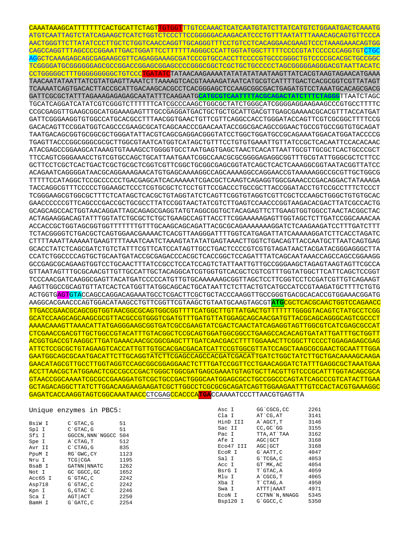CAAATAAAGCATTTTTTTCACTGCATTCTAGTTGTGGTTTGTCCAAACTCATCAATGTATCTTATCATGTCTGGAATGACTCAAATG ATGTCAATTAGTCTATCAGAAGCTCATCTGGTCTCCCTTCCGGGGGACAAGACATCCCTGTTTAATATTTAAACAGCAGTGTTCCCA AACTGGGTTCTTATATCCCTTGCTCTGGTCAACCAGGTTGCAGGGTTTCCTGTCCTCACAGGAACGAAGTCCCTAAAGAAACAGTGG CAGCCAGGTTTAGCCCCGGAATTGACTGGATTCCTTTTTTAGGGCCCATTGGTATGGCTTTTTCCCCGTATCCCCCCAGGTGTCTGC AGGCTCAAAGAGCAGCGAGAAGCGTTCAGAGGAAAGCGATCCCGTGCCACCTTCCCCGTGCCCGGGCTGTCCCCGCACGCTGCCGGC TCGGGGATGCGGGGGGAGCGCCGGACCGGAGCGGAGCCCCGGGCGGCTCGCTGCTGCCCCCTAGCGGGGGAGGGACGTAATTACATC CCTGGGGGCTTTGGGGGGGGGCTGTCCCTGATATCTATAACAAGAAAATATATATATAATAAGTTATCACGTAAGTAGAACATGAAA TAACAATATAATTATCGTATGAGTTAAATCTTAAAAGTCACGTAAAAGATAATCATGCGTCATTTTGACTCACGCGGTCGTTATAGT TCAAAATCAGTGACACTTACCGCATTGACAAGCACGCCTCACGGGAGCTCCAAGCGGCGACTGAGATGTCCTAAATGCACAGCGACG GATTCGCGCTATTTAGAAAGAGAGAGCAATATTTCAAGAATG**CATGCGTCAATTTTACGCAGACTATCTTTCTAGGG**TTAATCTAGC TGCATCAGGATCATATCGTCGGGTCTTTTTTCATCGCCCAAGCTGGCGCTATCTGGGCATCGGGGAGGAAGAAGCCCGTGCCTTTTC CCGCGAGGTTGAAGCGGCATGGAAAGAGTTTGCCGAGGATGACTGCTGCTGCATTGACGTTGAGCGAAAACGCACGTTTACCATGAT GATTCGGGAAGGTGTGGCCATGCACGCCTTTAACGGTGAACTGTTCGTTCAGGCCACCTGGGATACCAGTTCGTCGCGGCTTTTCCG GACACAGTTCCGGATGGTCAGCCCGAAGCGCATCAGCAACCCGAACAATACCGGCGACAGCCGGAACTGCCGTGCCGGTGTGCAGAT TAATGACAGCGGTGCGGCGCTGGGATATTACGTCAGCGAGGACGGGTATCCTGGCTGGATGCCGCAGAAATGGACATGGATACCCCG TGAGTTACCCGGCGGGCGCGCTTGGCGTAATCATGGTCATAGCTGTTTCCTGTGTGAAATTGTTATCCGCTCACAATTCCACACAAC ATACGAGCCGGAAGCATAAAGTGTAAAGCCTGGGGTGCCTAATGAGTGAGCTAACTCACATTAATTGCGTTGCGCTCACTGCCCGCT TTCCAGTCGGGAAACCTGTCGTGCCAGCTGCATTAATGAATCGGCCAACGCGCGGGGAGAGGCGGTTTGCGTATTGGGCGCTCTTCC GCTTCCTCGCTCACTGACTCGCTGCGCTCGGTCGTTCGGCTGCGGCGAGCGGTATCAGCTCACTCAAAGGCGGTAATACGGTTATCC ACAGAATCAGGGGATAACGCAGGAAAGAACATGTGAGCAAAAGGCCAGCAAAAGGCCAGGAACCGTAAAAAGGCCGCGTTGCTGGCG TTTTTCCATAGGCTCCGCCCCCCTGACGAGCATCACAAAAATCGACGCTCAAGTCAGAGGTGGCGAAACCCGACAGGACTATAAAGA TACCAGGCGTTTCCCCCTGGAAGCTCCCTCGTGCGCTCTCCTGTTCCGACCCTGCCGCTTACCGGATACCTGTCCGCCTTTCTCCCT TCGGGAAGCGTGGCGCTTTCTCATAGCTCACGCTGTAGGTATCTCAGTTCGGTGTAGGTCGTTCGCTCCAAGCTGGGCTGTGTGCAC GAACCCCCCGTTCAGCCCGACCGCTGCGCCTTATCCGGTAACTATCGTCTTGAGTCCAACCCGGTAAGACACGACTTATCGCCACTG GCAGCAGCCACTGGTAACAGGATTAGCAGAGCGAGGTATGTAGGCGGTGCTACAGAGTTCTTGAAGTGGTGGCCTAACTACGGCTAC ACTAGAAGGACAGTATTTGGTATCTGCGCTCTGCTGAAGCCAGTTACCTTCGGAAAAAGAGTTGGTAGCTCTTGATCCGGCAAACAA ACCACCGCTGGTAGCGGTGGTTTTTTTGTTTGCAAGCAGCAGATTACGCGCAGAAAAAAAGGATCTCAAGAAGATCCTTTGATCTTT TCTACGGGGTCTGACGCTCAGTGGAACGAAAACTCACGTTAAGGGATTTTGGTCATGAGATTATCAAAAAGGATCTTCACCTAGATC CTTTTAAATTAAAAATGAAGTTTTAAATCAATCTAAAGTATATATGAGTAAACTTGGTCTGACAGTTACCAATGCTTAATCAGTGAG GCACCTATCTCAGCGATCTGTCTATTTCGTTCATCCATAGTTGCCTGACTCCCCGTCGTGTAGATAACTACGATACGGGAGGGCTTA CCATCTGGCCCCAGTGCTGCAATGATACCGCGAGACCCACGCTCACCGGCTCCAGATTTATCAGCAATAAACCAGCCAGCCGGAAGG GCCGAGCGCAGAAGTGGTCCTGCAACTTTATCCGCCTCCATCCAGTCTATTAATTGTTGCCGGGAAGCTAGAGTAAGTAGTTCGCCA GTTAATAGTTTGCGCAACGTTGTTGCCATTGCTACAGGCATCGTGGTGTCACGCTCGTCGTTTGGTATGGCTTCATTCAGCTCCGGT TCCCAACGATCAAGGCGAGTTACATGATCCCCCATGTTGTGCAAAAAAGCGGTTAGCTCCTTCGGTCCTCCGATCGTTGTCAGAAGT AAGTTGGCCGCAGTGTTATCACTCATGGTTATGGCAGCACTGCATAATTCTCTTACTGTCATGCCATCCGTAAGATGCTTTTCTGTG ACTGGTGAGTGTACCAGCCAGGACAGAAATGCCTCGACTTCGCTGCTACCCAAGGTTGCCGGGTGACGCACACCGTGGAAACGGATG AAGGCACGAACCCAGTGGACATAAGCCTGTTCGGTTCGTAAGCTGTAATGCAAGTAGCGT**ATG**CGCTCACGCAACTGGTCCAGAACC TTGACCGAACGCAGCGGTGGTAACGGCGCAGTGGCGGTTTTCATGGCTTGTTATGACTGTTTTTTTGGGGTACAGTCTATGCCTCGG GCATCCAAGCAGCAAGCGCGTTACGCCGTGGGTCGATGTTTGATGTTATGGAGCAGCAACGATGTTACGCAGCAGGGCAGTCGCCCT AAAACAAAGTTAAACATTATGAGGGAAGCGGTGATCGCCGAAGTATCGACTCAACTATCAGAGGTAGTTGGCGTCATCGAGCGCCAT CTCGAACCGACGTTGCTGGCCGTACATTTGTACGGCTCCGCAGTGGATGGCGGCCTGAAGCCACACAGTGATATTGATTTGCTGGTT ACGGTGACCGTAAGGCTTGATGAAACAACGCGGCGAGCTTTGATCAACGACCTTTTGGAAACTTCGGCTTCCCCTGGAGAGAGCGAG ATTCTCCGCGCTGTAGAAGTCACCATTGTTGTGCACGACGACATCATTCCGTGGCGTTATCCAGCTAAGCGCGAACTGCAATTTGGA GAATGGCAGCGCAATGACATTCTTGCAGGTATCTTCGAGCCAGCCACGATCGACATTGATCTGGCTATCTTGCTGACAAAAGCAAGA GAACATAGCGTTGCCTTGGTAGGTCCAGCGGCGGAGGAACTCTTTGATCCGGTTCCTGAACAGGATCTATTTGAGGCGCTAAATGAA ACCTTAACGCTATGGAACTCGCCGCCCGACTGGGCTGGCGATGAGCGAAATGTAGTGCTTACGTTGTCCCGCATTTGGTACAGCGCA GTAACCGGCAAAATCGCGCCGAAGGATGTCGCTGCCGACTGGGCAATGGAGCGCCTGCCGGCCCAGTATCAGCCCGTCATACTTGAA GCTAGACAGGCTTATCTTGGACAAGAAGAAGATCGCTTGGCCTCGCGCGCAGATCAGTTGGAAGAATTTGTCCACTACGTGAAAGGC GAGATCACCAAGGTAGTCGGCAAATAACCCTCGAGCCACCCA**TGA**CCAAAATCCCTTAACGTGAGTTA

|         | Unique enzymes in PBC5: |      | Asc I     | GG`CGCG, CC         | 2261 |
|---------|-------------------------|------|-----------|---------------------|------|
|         |                         |      | Cla I     | AT CG, AT           | 3141 |
| BsiW I  | $C$ $GTAC$ , $G$        | 51   | HinD III  | A`AGCT, T           | 3146 |
| Spl I   | $C$ $GTAC$ , $G$        | 51   | Sac II    | $CC$ , $GC$ $G$ $G$ | 3155 |
| Sfi I   | GGCCN, NNN NGGCC 504    |      | Pac I     | TTA, AT`TAA         | 3162 |
| Spe I   | A`CTAG, T               | 512  | Afe I     | $AGC$ GCT           | 3168 |
| Avr II  | $C$ $CTAG$ , $G$        | 835  | Eco47 III | AGC GCT             | 3168 |
| PpuM I  | RG`GWC, CY              | 1123 | ECOR I    | G`AATT, C           | 4047 |
| Nru I   | $TCG$ $CGA$             | 1195 | Sal I     | $G$ TCGA, $C$       | 4053 |
| BsaB I  | GATNN NNATC             | 1262 | Acc I     | GT MK, AC           | 4054 |
| Not I   | GC 'GGCC, GC            | 1652 | BsrG I    | T`GTAC, A           | 4059 |
| Acc65 I | $G$ $GTAC$ , $C$        | 2242 | Mlu I     | A CGCG, T           | 4065 |
| Asp718  | $G$ $G$ $TAC$ , $C$     | 2242 | Xba I     | T CTAG.A            | 4950 |
| Kpn I   | G, GTAC C               | 2246 | Swa I     | ATTT AAAT           | 4971 |
| Sca I   | AGT ACT                 | 2250 | ECON I    | CCTNN N, NNAGG      | 5345 |
| RamH T  | $G$ $GATC$ $C$          | 2254 | Bsp120 I  | G`GGCC, C           | 5350 |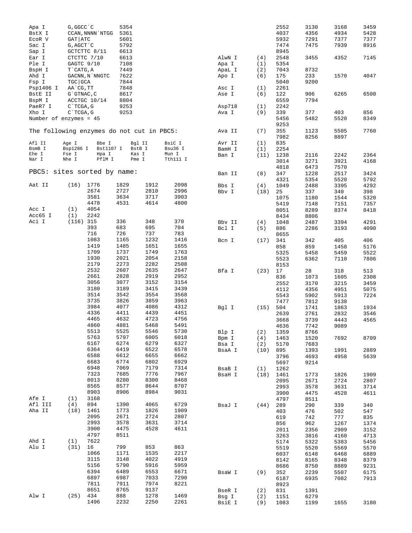| Apa I                                     | G, GGCC `C        |                  | 5354 |        |          |        |      | 2552 | 3130 | 3168 | 3459 |
|-------------------------------------------|-------------------|------------------|------|--------|----------|--------|------|------|------|------|------|
| BstX I                                    |                   | CCAN, NNNN `NTGG | 5361 |        |          |        |      | 4037 | 4356 | 4934 | 5428 |
| ECOR V                                    | GAT ATC           |                  | 5601 |        |          |        |      | 5932 | 7291 | 7377 | 7377 |
| Sac I                                     | G, AGCT `C        |                  | 5792 |        |          |        |      | 7474 | 7475 | 7939 | 8916 |
|                                           |                   |                  |      |        |          |        |      |      |      |      |      |
| Sap I                                     |                   | GCTCTTC 8/11     | 6613 |        |          |        |      | 8945 |      |      |      |
| Ear I                                     |                   | CTCTTC 7/10      | 6613 |        |          | AlwN I | (4)  | 2548 | 3455 | 4352 | 7145 |
| Ple I                                     | GAGTC 9/10        |                  | 7108 |        |          | Apa I  | (1)  | 5354 |      |      |      |
| BspH I                                    | T`CATG, A         |                  | 7449 |        |          | ApaL I | (2)  | 7043 | 8732 |      |      |
| Ahd I                                     |                   | GACNN, N`NNGTC   | 7622 |        |          | Apo I  | (6)  | 175  | 233  | 1570 | 4047 |
| Fsp I                                     | TGC GCA           |                  | 7844 |        |          |        |      | 5040 | 9200 |      |      |
| Psp1406 I                                 | AA`CG, TT         |                  | 7848 |        |          | Asc I  | (1)  | 2261 |      |      |      |
| BstE II                                   | $G$ $G$ TNAC, $C$ |                  | 8617 |        |          | Ase I  | (6)  | 122  | 906  | 6265 | 6500 |
| BspM I                                    |                   | ACCTGC 10/14     | 8804 |        |          |        |      | 6559 | 7794 |      |      |
| PaeR7 I                                   | C`TCGA, G         |                  | 9253 |        |          | Asp718 | (1)  | 2242 |      |      |      |
| Xho I                                     | $C$ TCGA, G       |                  | 9253 |        |          | Ava I  | (9)  | 339  | 377  | 403  | 856  |
|                                           |                   |                  |      |        |          |        |      | 5456 | 5482 | 5520 | 8349 |
| Number of enzymes = 45                    |                   |                  |      |        |          |        |      |      |      |      |      |
|                                           |                   |                  |      |        |          |        |      | 9253 |      |      |      |
| The following enzymes do not cut in PBC5: |                   |                  |      |        |          | Ava II | (7)  | 355  | 1123 | 5505 | 7760 |
|                                           |                   |                  |      |        |          |        |      | 7982 | 8256 | 8897 |      |
| Afl II                                    | Age I             | Bbe I            |      | Bgl II | BsiC I   | Avr II | (1)  | 835  |      |      |      |
| BsmB I                                    | Bsp1286 I         | Bst1107 I        |      | BstB I | Bsu36 I  | BamH I | (1)  | 2254 |      |      |      |
| Ehe I                                     | Fse I             | Hpa I            |      | Kas I  | Mun I    | Ban I  | (11) | 1238 | 2116 | 2242 | 2364 |
| Nar I                                     | Nhe I             | PflM I           |      | Pme I  | Tth111 I |        |      | 3014 | 3271 | 3921 | 4168 |
|                                           |                   |                  |      |        |          |        |      | 4818 | 6473 | 7570 |      |
| PBC5: sites sorted by name:               |                   |                  |      |        |          | Ban II | (8)  | 347  | 1228 | 2517 | 3424 |
|                                           |                   |                  |      |        |          |        |      | 4321 | 5354 | 5520 | 5792 |
| Aat II                                    | (16)              | 1776             | 1829 | 1912   | 2098     | Bbs I  | (4)  | 1049 | 2488 | 3395 | 4292 |
|                                           |                   | 2674             | 2727 | 2810   | 2996     |        |      |      |      |      | 398  |
|                                           |                   | 3581             | 3634 | 3717   | 3903     | Bbv I  | (18) | 25   | 337  | 340  |      |
|                                           |                   |                  |      | 4614   |          |        |      | 1075 | 1180 | 1544 | 5320 |
|                                           |                   | 4478             | 4531 |        | 4800     |        |      | 5419 | 7148 | 7151 | 7357 |
| Acc I                                     | (1)               | 4054             |      |        |          |        |      | 8051 | 8289 | 8374 | 8418 |
| Acc65 I                                   | (1)               | 2242             |      |        |          |        |      | 8434 | 8806 |      |      |
| Aci I                                     | $(116)$ 315       |                  | 336  | 348    | 370      | Bbv II | (4)  | 1048 | 2487 | 3394 | 4291 |
|                                           |                   | 393              | 683  | 695    | 704      | Bcl I  | (5)  | 886  | 2286 | 3193 | 4090 |
|                                           |                   | 716              | 726  | 737    | 783      |        |      | 8655 |      |      |      |
|                                           |                   | 1083             | 1165 | 1232   | 1416     | Bcn I  | (17) | 341  | 342  | 405  | 406  |
|                                           |                   | 1419             | 1485 | 1651   | 1655     |        |      | 858  | 859  | 1458 | 5176 |
|                                           |                   | 1709             | 1737 | 1749   | 1763     |        |      | 5325 | 5458 | 5459 | 5522 |
|                                           |                   | 1930             | 2021 | 2054   | 2158     |        |      | 5523 | 6362 | 7110 | 7806 |
|                                           |                   | 2179             | 2273 | 2282   | 2508     |        |      | 8153 |      |      |      |
|                                           |                   | 2532             | 2607 | 2635   | 2647     |        |      |      |      |      |      |
|                                           |                   | 2661             | 2828 | 2919   | 2952     | Bfa I  | (23) | 17   | 28   | 318  | 513  |
|                                           |                   |                  |      |        |          |        |      | 836  | 1073 | 1605 | 2308 |
|                                           |                   | 3056             | 3077 | 3152   | 3154     |        |      | 2552 | 3170 | 3215 | 3459 |
|                                           |                   | 3180             | 3189 | 3415   | 3439     |        |      | 4112 | 4356 | 4951 | 5075 |
|                                           |                   | 3514             | 3542 | 3554   | 3568     |        |      | 5543 | 5902 | 5913 | 7224 |
|                                           |                   | 3735             | 3826 | 3859   | 3963     |        |      | 7477 | 7812 | 9138 |      |
|                                           |                   | 3984             | 4077 | 4086   | 4312     | Bgl I  | (15) | 504  | 1741 | 1863 | 1934 |
|                                           |                   | 4336             | 4411 | 4439   | 4451     |        |      | 2639 | 2761 | 2832 | 3546 |
|                                           |                   | 4465             | 4632 | 4723   | 4756     |        |      | 3668 | 3739 | 4443 | 4565 |
|                                           |                   | 4860             | 4881 | 5468   | 5491     |        |      | 4636 | 7742 | 9089 |      |
|                                           |                   | 5513             | 5525 | 5546   | 5730     | Blp I  | (2)  | 1359 | 8766 |      |      |
|                                           |                   | 5763             | 5797 | 6005   | 6018     | Bpm I  | (4)  | 1463 | 1520 | 7692 | 8709 |
|                                           |                   | 6167             | 6274 | 6279   | 6327     | Bsa I  | (2)  | 5170 | 7683 |      |      |
|                                           |                   | 6364             | 6419 | 6522   | 6578     |        |      |      |      |      |      |
|                                           |                   | 6588             | 6612 | 6655   | 6662     | BsaA I | (10) | 895  | 1393 | 1991 | 2889 |
|                                           |                   | 6683             |      |        | 6929     |        |      | 3796 | 4693 | 4958 | 5639 |
|                                           |                   |                  | 6774 | 6802   |          |        |      | 5697 | 9214 |      |      |
|                                           |                   | 6948             | 7069 | 7179   | 7314     | BsaB I | (1)  | 1262 |      |      |      |
|                                           |                   | 7323             | 7685 | 7776   | 7967     | BsaH I | (18) | 1461 | 1773 | 1826 | 1909 |
|                                           |                   | 8013             | 8280 | 8300   | 8468     |        |      | 2095 | 2671 | 2724 | 2807 |
|                                           |                   | 8565             | 8577 | 8644   | 8707     |        |      | 2993 | 3578 | 3631 | 3714 |
|                                           |                   | 8903             | 8906 | 8984   | 9031     |        |      | 3900 | 4475 | 4528 | 4611 |
| Afe I                                     | (1)               | 3168             |      |        |          |        |      | 4797 | 8511 |      |      |
| Afl III                                   | (4)               | 894              | 1390 | 4065   | 6729     | BsaJ I | (44) | 289  | 290  | 339  | 340  |
| Aha II                                    | (18)              | 1461             | 1773 | 1826   | 1909     |        |      | 403  | 476  | 502  | 547  |
|                                           |                   | 2095             | 2671 | 2724   | 2807     |        |      | 619  | 742  | 777  | 835  |
|                                           |                   | 2993             | 3578 | 3631   | 3714     |        |      | 856  | 962  | 1267 | 1374 |
|                                           |                   | 3900             | 4475 | 4528   | 4611     |        |      |      |      |      |      |
|                                           |                   | 4797             | 8511 |        |          |        |      | 2011 | 2356 | 2909 | 3152 |
|                                           |                   |                  |      |        |          |        |      | 3263 | 3816 | 4160 | 4713 |
| Ahd I                                     | (1)               | 7622             |      |        |          |        |      | 5174 | 5322 | 5383 | 5456 |
| Alu I                                     | (31)              | 16               | 799  | 853    | 863      |        |      | 5519 | 5520 | 5569 | 5570 |
|                                           |                   | 1066             | 1171 | 1535   | 2217     |        |      | 6037 | 6148 | 6468 | 6889 |
|                                           |                   | 3115             | 3148 | 4022   | 4919     |        |      | 8142 | 8165 | 8348 | 8379 |
|                                           |                   | 5156             | 5790 | 5916   | 5959     |        |      | 8686 | 8750 | 8889 | 9231 |
|                                           |                   | 6394             | 6489 | 6553   | 6671     | BsaW I | (9)  | 352  | 2239 | 5507 | 6175 |
|                                           |                   | 6897             | 6987 | 7033   | 7290     |        |      | 6187 | 6935 | 7082 | 7913 |
|                                           |                   | 7811             | 7911 | 7974   | 8221     |        |      | 8923 |      |      |      |
|                                           |                   | 8651             | 8765 | 9137   |          | BseR I | (2)  | 831  | 1391 |      |      |
| Alw I                                     | (25) 434          |                  | 888  | 1278   | 1469     | Bsg I  | (2)  | 1151 | 6279 |      |      |
|                                           |                   | 1496             | 2232 | 2250   | 2261     | BsiE I | (9)  | 1083 | 1199 | 1655 | 3180 |
|                                           |                   |                  |      |        |          |        |      |      |      |      |      |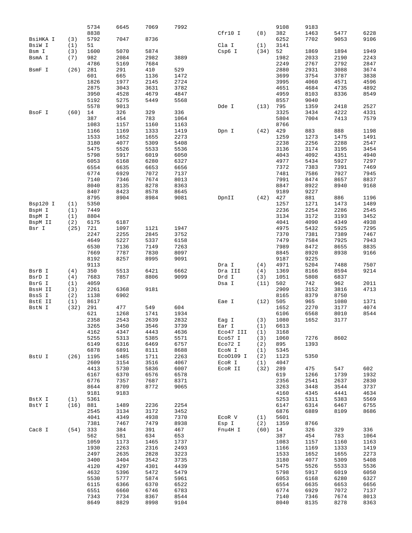|          |            | 5734         | 6645         | 7069         | 7992         |                   |             | 9108         | 9183         |              |              |
|----------|------------|--------------|--------------|--------------|--------------|-------------------|-------------|--------------|--------------|--------------|--------------|
|          |            | 8838         |              |              |              | Cfr10 I           | (8)         | 382          | 1463         | 5477         | 6228         |
| BsiHKA I | (3)        | 5792         | 7047         | 8736         |              |                   |             | 6252         | 7702         | 9053         | 9106         |
| BsiW I   | (1)        | 51           |              |              |              | Cla I             | (1)         | 3141         |              |              |              |
| Bsm I    | (3)        | 1600         | 5070         | 5874         |              | Csp6 I            | (34)        | 52           | 1869         | 1894         | 1949         |
| BsmA I   | (7)        | 982          | 2084         | 2982         | 3889         |                   |             | 1982         | 2033         | 2190         | 2243         |
|          |            | 4786         | 5169         | 7684         |              |                   |             | 2249         | 2767         | 2792         | 2847         |
| BsmF I   | (26)       | 281          | 291          | 410          | 529          |                   |             | 2880         | 2931         | 3088         | 3674         |
|          |            | 601          | 665          | 1136         | 1472         |                   |             | 3699         | 3754         | 3787         | 3838         |
|          |            | 1826         | 1977         | 2145         | 2724         |                   |             | 3995         | 4060         | 4571         | 4596         |
|          |            | 2875         | 3043         | 3631         | 3782         |                   |             | 4651         | 4684         | 4735         | 4892         |
|          |            | 3950         | 4528         | 4679         | 4847         |                   |             | 4959         | 8103         | 8336         | 8549         |
|          |            | 5192         | 5275         | 5449         | 5568         |                   |             | 8557         | 9040         |              |              |
|          |            | 5578         | 9013         |              |              | Dde I             | (13)        | 795          | 1359         | 2418         | 2527         |
| BsoF I   | (60)       | 14           | 326          | 329          | 336          |                   |             | 3325         | 3434         | 4222         | 4331         |
|          |            | 387          | 454          | 783          | 1064         |                   |             | 5804         | 7004         | 7413         | 7579         |
|          |            | 1083         | 1157         | 1160         | 1163         |                   |             | 8766         |              |              |              |
|          |            | 1166<br>1533 | 1169<br>1652 | 1333<br>1655 | 1419<br>2273 | Dpn I             | (42)        | 429<br>1259  | 883<br>1273  | 888<br>1475  | 1198<br>1491 |
|          |            |              |              | 5309         |              |                   |             |              |              |              |              |
|          |            | 3180<br>5475 | 4077<br>5526 | 5533         | 5408<br>5536 |                   |             | 2238<br>3136 | 2256<br>3174 | 2288<br>3195 | 2547<br>3454 |
|          |            | 5798         | 5917         | 6019         | 6050         |                   |             | 4043         | 4092         | 4351         | 4940         |
|          |            | 6053         | 6168         | 6280         | 6327         |                   |             | 4977         | 5434         | 5927         | 7297         |
|          |            | 6554         | 6635         | 6653         | 6656         |                   |             | 7372         | 7383         | 7391         | 7469         |
|          |            | 6774         | 6929         | 7072         | 7137         |                   |             | 7481         | 7586         | 7927         | 7945         |
|          |            | 7140         | 7346         | 7674         | 8013         |                   |             | 7991         | 8474         | 8657         | 8837         |
|          |            | 8040         | 8135         | 8278         | 8363         |                   |             | 8847         | 8922         | 8940         | 9168         |
|          |            | 8407         | 8423         | 8578         | 8645         |                   |             | 9189         | 9227         |              |              |
|          |            | 8795         | 8904         | 8984         | 9081         | DpnII             | (42)        | 427          | 881          | 886          | 1196         |
| Bsp120 I | (1)        | 5350         |              |              |              |                   |             | 1257         | 1271         | 1473         | 1489         |
| BspH I   | (1)        | 7449         |              |              |              |                   |             | 2236         | 2254         | 2286         | 2545         |
| BspM I   | (1)        | 8804         |              |              |              |                   |             | 3134         | 3172         | 3193         | 3452         |
| BspM II  | (2)        | 6175         | 6187         |              |              |                   |             | 4041         | 4090         | 4349         | 4938         |
| Bsr I    | (25)       | 721          | 1097         | 1121         | 1947         |                   |             | 4975         | 5432         | 5925         | 7295         |
|          |            | 2247         | 2255         | 2845         | 3752         |                   |             | 7370         | 7381         | 7389         | 7467         |
|          |            | 4649         | 5227         | 5337         | 6158         |                   |             | 7479         | 7584         | 7925         | 7943         |
|          |            | 6530         | 7136         | 7149         | 7263         |                   |             | 7989         | 8472         | 8655         | 8835         |
|          |            | 7669         | 7787         | 7830         | 8097         |                   |             | 8845         | 8920         | 8938         | 9166         |
|          |            | 8192         | 8257         | 8995         | 9091         |                   |             | 9187         | 9225         |              |              |
|          |            | 9113         |              |              |              | Dra I             | (4)         | 4971         | 5204         | 7488         | 7507         |
| BsrB I   | (4)        | 350          | 5513         | 6421         | 6662         | Dra III           | (4)         | 1369         | 8166         | 8594         | 9214         |
| BsrD I   | (4)        | 7683         | 7857         | 8806         | 9099         | Drd I             | (3)         | 1051         | 5808         | 6837         |              |
| BsrG I   | (1)        | 4059         |              |              |              | Dsa I             | (11)        | 502          | 742          | 962          | 2011         |
| BssH II  | (3)        | 2261         | 6368         | 9181         |              |                   |             | 2909         | 3152         | 3816         | 4713         |
| BssS I   | (2)        | 1138         | 6902         |              |              |                   |             | 8165         | 8379         | 8750         |              |
| BstE II  | (1)        | 8617         |              |              |              | Eae I             | (12)        | 505          | 965          | 1080         | 1371         |
| BstN I   | (32)       | 291          | 477          | 549          | 604          |                   |             | 1652         | 2270         | 3177         | 4074         |
|          |            | 621          | 1268         | 1741         | 1934         |                   |             | 6106         | 6568         | 8010         | 8544         |
|          |            | 2358         | 2543         | 2639         | 2832         | Eag I             | (3)         | 1080         | 1652         | 3177         |              |
|          |            | 3265         | 3450         | 3546         | 3739         | Ear I             | (1)         | 6613         |              |              |              |
|          |            | 4162         | 4347         | 4443         | 4636         | Eco47 III         | (1)         | 3168         |              |              |              |
|          |            | 5255         | 5313         | 5385         | 5571         | Eco57 I           | (3)         | 1060         | 7276         | 8602         |              |
|          |            | 6149         | 6316         | 6469         | 6757         | Eco72 I           | (2)         | 895          | 1393         |              |              |
|          |            | 6878         | 6891         | 8111         | 8688         | ECON I            | (1)         | 5345         |              |              |              |
| BstU I   | (26)       | 1195         | 1485         | 1711         | 2263         | Eco0109 I         | (2)         | 1123         | 5350         |              |              |
|          |            | 2609<br>4413 | 3154<br>5730 | 3516<br>5836 | 4067<br>6007 | ECOR I<br>ECOR II | (1)<br>(32) | 4047<br>289  | 475          | 547          | 602          |
|          |            | 6167         | 6370         | 6576         | 6578         |                   |             | 619          | 1266         | 1739         | 1932         |
|          |            | 6776         | 7357         | 7687         | 8371         |                   |             | 2356         | 2541         | 2637         | 2830         |
|          |            | 8644         | 8709         | 8772         | 9065         |                   |             | 3263         | 3448         | 3544         | 3737         |
|          |            | 9181         | 9183         |              |              |                   |             | 4160         | 4345         | 4441         | 4634         |
| BstX I   | (1)        | 5361         |              |              |              |                   |             | 5253         | 5311         | 5383         | 5569         |
| BstY I   | (16) 881   |              | 1489         | 2236         | 2254         |                   |             | 6147         | 6314         | 6467         | 6755         |
|          |            | 2545         | 3134         | 3172         | 3452         |                   |             | 6876         | 6889         | 8109         | 8686         |
|          |            | 4041         | 4349         | 4938         | 7370         | ECOR V            | (1)         | 5601         |              |              |              |
|          |            | 7381         | 7467         | 7479         | 8938         | Esp I             | (2)         | 1359         | 8766         |              |              |
| Cac8 I   | $(54)$ 333 |              | 384          | 391          | 467          | Fnu4H I           | $(60)$ 14   |              | 326          | 329          | 336          |
|          |            | 562          | 581          | 634          | 653          |                   |             | 387          | 454          | 783          | 1064         |
|          |            | 1059         | 1173         | 1465         | 1737         |                   |             | 1083         | 1157         | 1160         | 1163         |
|          |            | 1930         | 2263         | 2316         | 2493         |                   |             | 1166         | 1169         | 1333         | 1419         |
|          |            | 2497         | 2635         | 2828         | 3223         |                   |             | 1533         | 1652         | 1655         | 2273         |
|          |            | 3400         | 3404         | 3542         | 3735         |                   |             | 3180         | 4077         | 5309         | 5408         |
|          |            | 4120         | 4297         | 4301         | 4439         |                   |             | 5475         | 5526         | 5533         | 5536         |
|          |            | 4632         | 5396         | 5472         | 5479         |                   |             | 5798         | 5917         | 6019         | 6050         |
|          |            | 5530         | 5777         | 5874         | 5961         |                   |             | 6053         | 6168         | 6280         | 6327         |
|          |            | 6115         | 6366         | 6370         | 6522         |                   |             | 6554         | 6635         | 6653         | 6656         |
|          |            | 6551         | 6660         | 6746         | 6783         |                   |             | 6774         | 6929         | 7072         | 7137         |
|          |            | 7343         | 7734         | 8367         | 8544         |                   |             | 7140         | 7346         | 7674         | 8013         |
|          |            | 8649         | 8829         | 8998         | 9104         |                   |             | 8040         | 8135         | 8278         | 8363         |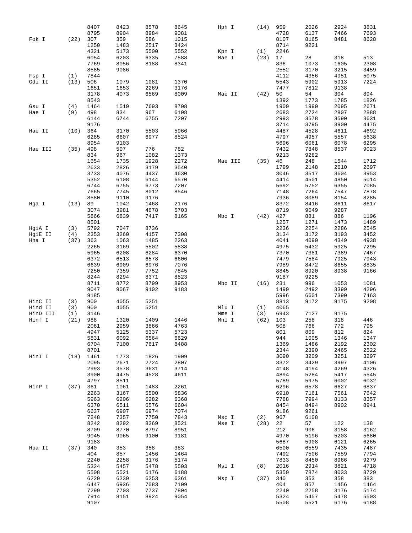|          |             | 8407 | 8423 | 8578 | 8645 | Hph I   | (14)       | 959  | 2026 | 2924 | 3831 |
|----------|-------------|------|------|------|------|---------|------------|------|------|------|------|
|          |             | 8795 | 8904 | 8984 | 9081 |         |            | 4728 | 6137 | 7466 | 7693 |
| Fok I    | (22)        | 307  | 359  | 686  | 1015 |         |            | 8107 | 8165 | 8481 | 8628 |
|          |             | 1250 | 1483 | 2517 | 3424 |         |            | 8714 | 9221 |      |      |
|          |             | 4321 | 5173 | 5500 | 5552 | Kpn I   | (1)        | 2246 |      |      |      |
|          |             | 6054 | 6203 | 6335 | 7588 | Mae I   | (23)       | 17   | 28   | 318  | 513  |
|          |             | 7769 | 8056 | 8188 |      |         |            | 836  |      | 1605 | 2308 |
|          |             |      |      |      | 8341 |         |            |      | 1073 |      |      |
|          |             | 8585 | 9086 |      |      |         |            | 2552 | 3170 | 3215 | 3459 |
| Fsp I    | (1)         | 7844 |      |      |      |         |            | 4112 | 4356 | 4951 | 5075 |
| Gdi II   | (13)        | 506  | 1079 | 1081 | 1370 |         |            | 5543 | 5902 | 5913 | 7224 |
|          |             | 1651 | 1653 | 2269 | 3176 |         |            | 7477 | 7812 | 9138 |      |
|          |             | 3178 | 4073 | 6569 | 8009 | Mae II  | (42)       | 50   | 54   | 304  | 894  |
|          |             | 8543 |      |      |      |         |            | 1392 | 1773 | 1785 | 1826 |
| Gsu I    | (4)         | 1464 | 1519 | 7693 | 8708 |         |            | 1909 | 1990 | 2095 | 2671 |
| Hae I    | (9)         | 498  | 834  | 967  | 6108 |         |            | 2683 | 2724 | 2807 | 2888 |
|          |             | 6144 | 6744 | 6755 | 7207 |         |            | 2993 | 3578 | 3590 | 3631 |
|          |             | 9176 |      |      |      |         |            | 3714 | 3795 | 3900 | 4475 |
| Hae II   | (10)        | 364  | 3170 | 5503 | 5966 |         |            | 4487 | 4528 | 4611 | 4692 |
|          |             | 6285 | 6607 | 6977 | 8524 |         |            | 4797 | 4957 | 5557 | 5638 |
|          |             |      |      |      |      |         |            |      |      |      |      |
|          |             | 8954 | 9103 |      |      |         |            | 5696 | 6061 | 6078 | 6295 |
| Hae III  | (35)        | 498  | 507  | 776  | 782  |         |            | 7432 | 7848 | 8537 | 9023 |
|          |             | 834  | 967  | 1082 | 1373 |         |            | 9213 | 9282 |      |      |
|          |             | 1654 | 1735 | 1928 | 2272 | Mae III | (35)       | 46   | 248  | 1544 | 1712 |
|          |             | 2633 | 2826 | 3179 | 3540 |         |            | 1799 | 2148 | 2610 | 2697 |
|          |             | 3733 | 4076 | 4437 | 4630 |         |            | 3046 | 3517 | 3604 | 3953 |
|          |             | 5352 | 6108 | 6144 | 6570 |         |            | 4414 | 4501 | 4850 | 5014 |
|          |             | 6744 | 6755 | 6773 | 7207 |         |            | 5692 | 5752 | 6355 | 7085 |
|          |             | 7665 | 7745 | 8012 | 8546 |         |            | 7148 | 7264 | 7547 | 7878 |
|          |             | 8580 | 9110 | 9176 |      |         |            | 7936 | 8089 | 8154 | 8285 |
| Hga I    | (13)        | 89   | 1042 | 1468 | 2176 |         |            | 8372 | 8416 | 8611 | 8617 |
|          |             | 3074 | 3981 | 4878 | 5703 |         |            | 8719 | 9049 | 9287 |      |
|          |             | 5866 | 6839 | 7417 | 8165 | Mbo I   | (42)       | 427  | 881  | 886  | 1196 |
|          |             |      |      |      |      |         |            |      |      |      |      |
|          |             | 8501 |      |      |      |         |            | 1257 | 1271 | 1473 | 1489 |
| HgiA I   | (3)         | 5792 | 7047 | 8736 |      |         |            | 2236 | 2254 | 2286 | 2545 |
| HgiE II  | (4)         | 2353 | 3260 | 4157 | 7308 |         |            | 3134 | 3172 | 3193 | 3452 |
| Hha I    | (37)        | 363  | 1063 | 1485 | 2263 |         |            | 4041 | 4090 | 4349 | 4938 |
|          |             | 2265 | 3169 | 5502 | 5838 |         |            | 4975 | 5432 | 5925 | 7295 |
|          |             | 5965 | 6208 | 6284 | 6370 |         |            | 7370 | 7381 | 7389 | 7467 |
|          |             | 6372 | 6513 | 6578 | 6606 |         |            | 7479 | 7584 | 7925 | 7943 |
|          |             | 6639 | 6909 | 6976 | 7076 |         |            | 7989 | 8472 | 8655 | 8835 |
|          |             | 7250 | 7359 | 7752 | 7845 |         |            | 8845 | 8920 | 8938 | 9166 |
|          |             | 8244 | 8294 | 8371 | 8523 |         |            | 9187 | 9225 |      |      |
|          |             | 8711 | 8772 | 8799 | 8953 | Mbo II  | (16)       | 231  | 996  | 1053 | 1081 |
|          |             | 9047 | 9067 | 9102 | 9183 |         |            | 1499 | 2492 | 3399 | 4296 |
|          |             | 9185 |      |      |      |         |            | 5996 | 6601 | 7390 | 7463 |
| HinC II  |             | 900  | 4055 | 5251 |      |         |            | 8813 | 9172 | 9175 | 9208 |
|          | (3)         |      |      |      |      |         |            |      |      |      |      |
| Hind II  | (3)         | 900  | 4055 | 5251 |      | Mlu I   | (1)        | 4065 |      |      |      |
| HinD III | (1)         | 3146 |      |      |      | Mme I   | (3)        | 6943 | 7127 | 9175 |      |
| Hinf I   | (21)        | 988  | 1320 | 1409 | 1446 | Mnl I   | (62)       | 103  | 258  | 318  | 446  |
|          |             | 2061 | 2959 | 3866 | 4763 |         |            | 508  | 766  | 772  | 795  |
|          |             | 4947 | 5125 | 5337 | 5723 |         |            | 801  | 809  | 812  | 824  |
|          |             | 5831 | 6092 | 6564 | 6629 |         |            | 944  | 1005 | 1346 | 1347 |
|          |             | 6704 | 7100 | 7617 | 8488 |         |            | 1369 | 1486 | 2192 | 2302 |
|          |             | 8701 |      |      |      |         |            | 2344 | 2390 | 2465 | 2522 |
| HinI I   | $(18)$ 1461 |      | 1773 | 1826 | 1909 |         |            | 3090 | 3209 | 3251 | 3297 |
|          |             | 2095 | 2671 | 2724 | 2807 |         |            | 3372 | 3429 | 3997 | 4106 |
|          |             | 2993 | 3578 | 3631 | 3714 |         |            | 4148 | 4194 | 4269 | 4326 |
|          |             | 3900 | 4475 | 4528 | 4611 |         |            | 4894 | 5284 | 5417 | 5545 |
|          |             | 4797 | 8511 |      |      |         |            | 5789 | 5975 | 6002 | 6032 |
|          |             |      |      |      |      |         |            |      |      |      |      |
| HinP I   | (37) 361    |      | 1061 | 1483 | 2261 |         |            | 6296 | 6578 | 6627 | 6837 |
|          |             | 2263 | 3167 | 5500 | 5836 |         |            | 6910 | 7161 | 7561 | 7642 |
|          |             | 5963 | 6206 | 6282 | 6368 |         |            | 7788 | 7994 | 8133 | 8357 |
|          |             | 6370 | 6511 | 6576 | 6604 |         |            | 8454 | 8494 | 8902 | 8941 |
|          |             | 6637 | 6907 | 6974 | 7074 |         |            | 9186 | 9261 |      |      |
|          |             | 7248 | 7357 | 7750 | 7843 | Msc I   | (2)        | 967  | 6108 |      |      |
|          |             | 8242 | 8292 | 8369 | 8521 | Mse I   | (28)       | 22   | 57   | 122  | 138  |
|          |             | 8709 | 8770 | 8797 | 8951 |         |            | 212  | 906  | 3158 | 3162 |
|          |             | 9045 | 9065 | 9100 | 9181 |         |            | 4970 | 5196 | 5203 | 5680 |
|          |             | 9183 |      |      |      |         |            | 5687 | 5908 | 6121 | 6265 |
| Hpa II   | $(37)$ 340  |      | 353  | 358  | 383  |         |            | 6500 | 6559 | 7435 | 7487 |
|          |             | 404  | 857  | 1456 | 1464 |         |            | 7492 | 7506 | 7559 | 7794 |
|          |             |      |      |      |      |         |            |      |      |      |      |
|          |             | 2240 | 2258 | 3176 | 5174 |         |            | 7833 | 8450 | 8966 | 9279 |
|          |             | 5324 | 5457 | 5478 | 5503 | Msl I   | (8)        | 2016 | 2914 | 3821 | 4718 |
|          |             | 5508 | 5521 | 6176 | 6188 |         |            | 5359 | 7874 | 8033 | 8729 |
|          |             | 6229 | 6239 | 6253 | 6361 | Msp I   | $(37)$ 340 |      | 353  | 358  | 383  |
|          |             | 6447 | 6936 | 7083 | 7109 |         |            | 404  | 857  | 1456 | 1464 |
|          |             | 7299 | 7703 | 7737 | 7804 |         |            | 2240 | 2258 | 3176 | 5174 |
|          |             | 7914 | 8151 | 8924 | 9054 |         |            | 5324 | 5457 | 5478 | 5503 |
|          |             | 9107 |      |      |      |         |            | 5508 | 5521 | 6176 | 6188 |
|          |             |      |      |      |      |         |            |      |      |      |      |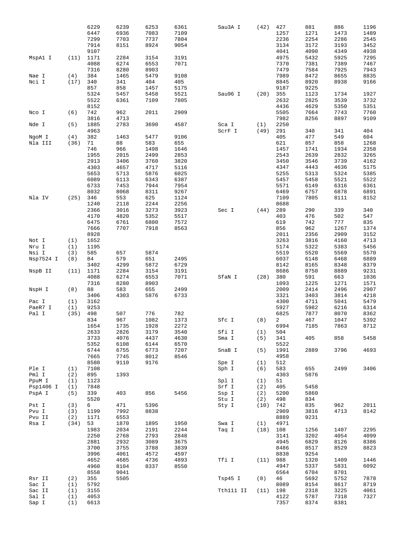|           |      | 6229 | 6239 | 6253 | 6361 | Sau3A I   | (42) | 427  | 881  | 886  | 1196 |
|-----------|------|------|------|------|------|-----------|------|------|------|------|------|
|           |      | 6447 | 6936 | 7083 | 7109 |           |      | 1257 | 1271 | 1473 | 1489 |
|           |      | 7299 | 7703 | 7737 | 7804 |           |      | 2236 | 2254 | 2286 | 2545 |
|           |      |      |      |      |      |           |      | 3134 |      |      |      |
|           |      | 7914 | 8151 | 8924 | 9054 |           |      |      | 3172 | 3193 | 3452 |
|           |      | 9107 |      |      |      |           |      | 4041 | 4090 | 4349 | 4938 |
| MspA1 I   | (11) | 1171 | 2284 | 3154 | 3191 |           |      | 4975 | 5432 | 5925 | 7295 |
|           |      | 4088 | 6274 | 6553 | 7071 |           |      | 7370 | 7381 | 7389 | 7467 |
|           |      | 7316 | 8280 | 8903 |      |           |      | 7479 | 7584 | 7925 | 7943 |
| Nae I     | (4)  | 384  | 1465 | 5479 | 9108 |           |      | 7989 | 8472 | 8655 | 8835 |
| Nci I     | (17) | 340  | 341  | 404  | 405  |           |      | 8845 | 8920 | 8938 | 9166 |
|           |      |      | 858  | 1457 |      |           |      | 9187 | 9225 |      |      |
|           |      | 857  |      |      | 5175 |           |      |      |      |      |      |
|           |      | 5324 | 5457 | 5458 | 5521 | Sau96 I   | (20) | 355  | 1123 | 1734 | 1927 |
|           |      | 5522 | 6361 | 7109 | 7805 |           |      | 2632 | 2825 | 3539 | 3732 |
|           |      | 8152 |      |      |      |           |      | 4436 | 4629 | 5350 | 5351 |
| Nco I     | (6)  | 742  | 962  | 2011 | 2909 |           |      | 5505 | 7664 | 7743 | 7760 |
|           |      | 3816 | 4713 |      |      |           |      | 7982 | 8256 | 8897 | 9109 |
| Nde I     | (5)  | 1885 | 2783 | 3690 | 4587 | Sca I     | (1)  | 2250 |      |      |      |
|           |      | 4963 |      |      |      | ScrF I    |      | 291  | 340  | 341  | 404  |
|           |      |      |      |      |      |           | (49) |      |      |      |      |
| NgoM I    | (4)  | 382  | 1463 | 5477 | 9106 |           |      | 405  | 477  | 549  | 604  |
| Nla III   | (36) | 71   | 88   | 583  | 655  |           |      | 621  | 857  | 858  | 1268 |
|           |      | 746  | 966  | 1498 | 1646 |           |      | 1457 | 1741 | 1934 | 2358 |
|           |      | 1955 | 2015 | 2499 | 2853 |           |      | 2543 | 2639 | 2832 | 3265 |
|           |      | 2913 | 3406 | 3760 | 3820 |           |      | 3450 | 3546 | 3739 | 4162 |
|           |      | 4303 | 4657 | 4717 | 5116 |           |      | 4347 | 4443 | 4636 | 5175 |
|           |      |      |      |      |      |           |      |      |      |      |      |
|           |      | 5653 | 5713 | 5876 | 6025 |           |      | 5255 | 5313 | 5324 | 5385 |
|           |      | 6089 | 6113 | 6343 | 6387 |           |      | 5457 | 5458 | 5521 | 5522 |
|           |      | 6733 | 7453 | 7944 | 7954 |           |      | 5571 | 6149 | 6316 | 6361 |
|           |      | 8032 | 8068 | 8311 | 9267 |           |      | 6469 | 6757 | 6878 | 6891 |
| Nla IV    | (25) | 346  | 553  | 625  | 1124 |           |      | 7109 | 7805 | 8111 | 8152 |
|           |      | 1240 | 2118 | 2244 | 2256 |           |      | 8688 |      |      |      |
|           |      |      |      |      |      |           |      |      |      |      |      |
|           |      | 2366 | 3016 | 3273 | 3923 | Sec I     | (44) | 289  | 290  | 339  | 340  |
|           |      | 4170 | 4820 | 5352 | 5517 |           |      | 403  | 476  | 502  | 547  |
|           |      | 6475 | 6761 | 6800 | 7572 |           |      | 619  | 742  | 777  | 835  |
|           |      | 7666 | 7707 | 7918 | 8563 |           |      | 856  | 962  | 1267 | 1374 |
|           |      | 8928 |      |      |      |           |      | 2011 | 2356 | 2909 | 3152 |
| Not I     | (1)  | 1652 |      |      |      |           |      | 3263 | 3816 | 4160 | 4713 |
|           |      |      |      |      |      |           |      |      |      |      |      |
| Nru I     | (1)  | 1195 |      |      |      |           |      | 5174 | 5322 | 5383 | 5456 |
| Nsi I     | (3)  | 585  | 657  | 5874 |      |           |      | 5519 | 5520 | 5569 | 5570 |
| Nsp7524 I | (8)  | 84   | 579  | 651  | 2495 |           |      | 6037 | 6148 | 6468 | 6889 |
|           |      | 3402 | 4299 | 5872 | 6729 |           |      | 8142 | 8165 | 8348 | 8379 |
| NspB II   | (11) | 1171 | 2284 | 3154 | 3191 |           |      | 8686 | 8750 | 8889 | 9231 |
|           |      | 4088 | 6274 | 6553 | 7071 | SfaN I    | (28) | 380  | 591  | 663  |      |
|           |      |      |      |      |      |           |      |      |      |      | 1036 |
|           |      | 7316 | 8280 | 8903 |      |           |      | 1093 | 1225 | 1271 | 1571 |
| NspH I    | (8)  | 88   | 583  | 655  | 2499 |           |      | 2009 | 2414 | 2496 | 2907 |
|           |      | 3406 | 4303 | 5876 | 6733 |           |      | 3321 | 3403 | 3814 | 4218 |
| Pac I     | (1)  | 3162 |      |      |      |           |      | 4300 | 4711 | 5041 | 5479 |
| PaeR7 I   | (1)  | 9253 |      |      |      |           |      | 5927 | 5982 | 6216 | 6314 |
| Pal I     | (35) | 498  | 507  | 776  | 782  |           |      | 6825 | 7877 | 8070 | 8362 |
|           |      |      |      |      |      |           |      |      |      |      |      |
|           |      | 834  | 967  | 1082 | 1373 | Sfc I     | (8)  | 2    | 467  | 1047 | 5392 |
|           |      | 1654 | 1735 | 1928 | 2272 |           |      | 6994 | 7185 | 7863 | 8712 |
|           |      | 2633 | 2826 | 3179 | 3540 | Sfi I     | (1)  | 504  |      |      |      |
|           |      | 3733 | 4076 | 4437 | 4630 | Sma I     | (5)  | 341  | 405  | 858  | 5458 |
|           |      | 5352 | 6108 | 6144 | 6570 |           |      | 5522 |      |      |      |
|           |      | 6744 | 6755 | 6773 | 7207 | SnaB I    | (5)  | 1991 | 2889 | 3796 | 4693 |
|           |      | 7665 | 7745 | 8012 | 8546 |           |      | 4958 |      |      |      |
|           |      | 8580 | 9110 | 9176 |      |           |      | 512  |      |      |      |
|           |      |      |      |      |      | Spe I     | (1)  |      |      |      |      |
| Ple I     | (1)  | 7108 |      |      |      | Sph I     | (6)  | 583  | 655  | 2499 | 3406 |
| Pml I     | (2)  | 895  | 1393 |      |      |           |      | 4303 | 5876 |      |      |
| PpuM I    | (1)  | 1123 |      |      |      | Spl I     | (1)  | 51   |      |      |      |
| Psp1406 I | (1)  | 7848 |      |      |      | Srf I     | (2)  | 405  | 5458 |      |      |
| PspA I    | (5)  | 339  | 403  | 856  | 5456 | Ssp I     | (2)  | 5200 | 5860 |      |      |
|           |      |      |      |      |      |           |      |      |      |      |      |
|           |      | 5520 |      |      |      | Stu I     | (2)  | 498  | 834  |      |      |
| Pst I     | (3)  | 6    | 471  | 5396 |      | Sty I     | (10) | 742  | 835  | 962  | 2011 |
| Pvu I     | (3)  | 1199 | 7992 | 8838 |      |           |      | 2909 | 3816 | 4713 | 8142 |
| Pvu II    | (2)  | 1171 | 6553 |      |      |           |      | 8889 | 9231 |      |      |
| Rsa I     | (34) | 53   | 1870 | 1895 | 1950 | Swa I     | (1)  | 4971 |      |      |      |
|           |      | 1983 | 2034 | 2191 | 2244 | Taq I     | (18) | 108  | 1256 | 1407 | 2295 |
|           |      |      |      |      |      |           |      |      |      |      |      |
|           |      | 2250 | 2768 | 2793 | 2848 |           |      | 3141 | 3202 | 4054 | 4099 |
|           |      | 2881 | 2932 | 3089 | 3675 |           |      | 4945 | 6829 | 8126 | 8386 |
|           |      | 3700 | 3755 | 3788 | 3839 |           |      | 8486 | 8517 | 8529 | 8823 |
|           |      | 3996 | 4061 | 4572 | 4597 |           |      | 8838 | 9254 |      |      |
|           |      | 4652 | 4685 | 4736 | 4893 | Tfi I     | (11) | 988  | 1320 | 1409 | 1446 |
|           |      | 4960 | 8104 | 8337 | 8550 |           |      | 4947 | 5337 | 5831 | 6092 |
|           |      |      |      |      |      |           |      | 6564 | 6704 | 8701 |      |
|           |      | 8558 | 9041 |      |      |           |      |      |      |      |      |
| Rsr II    | (2)  | 355  | 5505 |      |      | Tsp45 I   | (8)  | 46   | 5692 | 5752 | 7878 |
| Sac I     | (1)  | 5792 |      |      |      |           |      | 8089 | 8154 | 8617 | 8719 |
| Sac II    | (1)  | 3155 |      |      |      | Tth111 II | (11) | 198  | 2318 | 3225 | 4061 |
| Sal I     | (1)  | 4053 |      |      |      |           |      | 4122 | 5787 | 7318 | 7327 |
| Sap I     | (1)  | 6613 |      |      |      |           |      | 7357 | 8374 | 8381 |      |
|           |      |      |      |      |      |           |      |      |      |      |      |